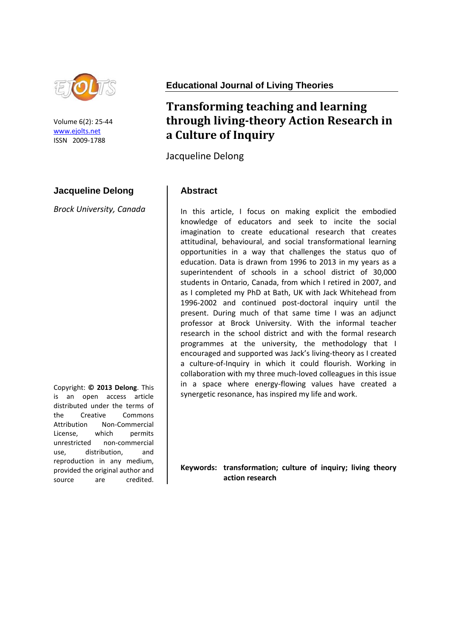

Volume 6(2): 25-44 [www.ejolts.net](http://www.ejolts.net/) ISSN 2009-1788

## **Jacqueline Delong**

*Brock University, Canada*

Copyright: **© 2013 Delong**. This is an open access article distributed under the terms of the Creative Commons Attribution Non-Commercial License, which permits unrestricted non-commercial use, distribution, and reproduction in any medium, provided the original author and source are credited.

**Educational Journal of Living Theories**

# **Transforming teaching and learning through living-theory Action Research in a Culture of Inquiry**

Jacqueline Delong

#### **Abstract**

In this article, I focus on making explicit the embodied knowledge of educators and seek to incite the social imagination to create educational research that creates attitudinal, behavioural, and social transformational learning opportunities in a way that challenges the status quo of education. Data is drawn from 1996 to 2013 in my years as a superintendent of schools in a school district of 30,000 students in Ontario, Canada, from which I retired in 2007, and as I completed my PhD at Bath, UK with Jack Whitehead from 1996-2002 and continued post-doctoral inquiry until the present. During much of that same time I was an adjunct professor at Brock University. With the informal teacher research in the school district and with the formal research programmes at the university, the methodology that I encouraged and supported was Jack's living-theory as I created a culture-of-Inquiry in which it could flourish. Working in collaboration with my three much-loved colleagues in this issue in a space where energy-flowing values have created a synergetic resonance, has inspired my life and work.

**Keywords: transformation; culture of inquiry; living theory action research**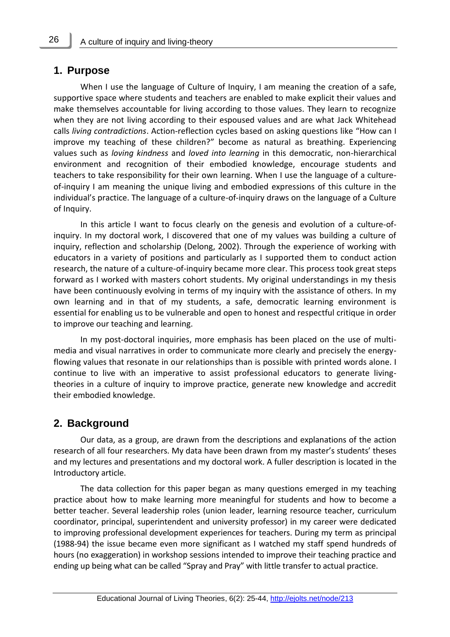## **1. Purpose**

When I use the language of Culture of Inquiry, I am meaning the creation of a safe, supportive space where students and teachers are enabled to make explicit their values and make themselves accountable for living according to those values. They learn to recognize when they are not living according to their espoused values and are what Jack Whitehead calls *living contradictions*. Action-reflection cycles based on asking questions like "How can I improve my teaching of these children?" become as natural as breathing. Experiencing values such as *loving kindness* and *loved into learning* in this democratic, non-hierarchical environment and recognition of their embodied knowledge, encourage students and teachers to take responsibility for their own learning. When I use the language of a cultureof-inquiry I am meaning the unique living and embodied expressions of this culture in the individual's practice. The language of a culture-of-inquiry draws on the language of a Culture of Inquiry.

In this article I want to focus clearly on the genesis and evolution of a culture-ofinquiry. In my doctoral work, I discovered that one of my values was building a culture of inquiry, reflection and scholarship (Delong, 2002). Through the experience of working with educators in a variety of positions and particularly as I supported them to conduct action research, the nature of a culture-of-inquiry became more clear. This process took great steps forward as I worked with masters cohort students. My original understandings in my thesis have been continuously evolving in terms of my inquiry with the assistance of others. In my own learning and in that of my students, a safe, democratic learning environment is essential for enabling us to be vulnerable and open to honest and respectful critique in order to improve our teaching and learning.

In my post-doctoral inquiries, more emphasis has been placed on the use of multimedia and visual narratives in order to communicate more clearly and precisely the energyflowing values that resonate in our relationships than is possible with printed words alone. I continue to live with an imperative to assist professional educators to generate livingtheories in a culture of inquiry to improve practice, generate new knowledge and accredit their embodied knowledge.

## **2. Background**

Our data, as a group, are drawn from the descriptions and explanations of the action research of all four researchers. My data have been drawn from my master's students' theses and my lectures and presentations and my doctoral work. A fuller description is located in the Introductory article.

The data collection for this paper began as many questions emerged in my teaching practice about how to make learning more meaningful for students and how to become a better teacher. Several leadership roles (union leader, learning resource teacher, curriculum coordinator, principal, superintendent and university professor) in my career were dedicated to improving professional development experiences for teachers. During my term as principal (1988-94) the issue became even more significant as I watched my staff spend hundreds of hours (no exaggeration) in workshop sessions intended to improve their teaching practice and ending up being what can be called "Spray and Pray" with little transfer to actual practice.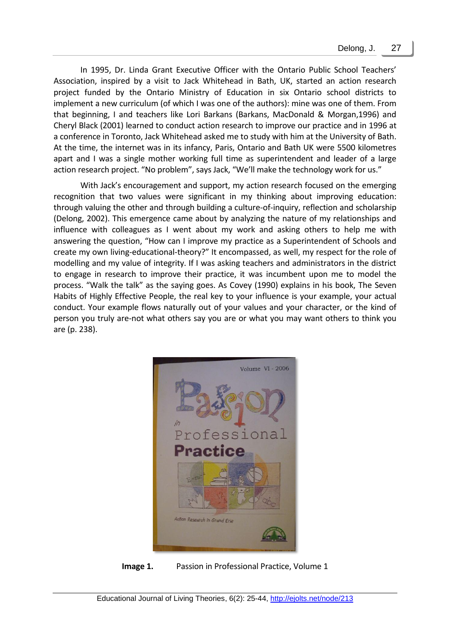In 1995, Dr. Linda Grant Executive Officer with the Ontario Public School Teachers' Association, inspired by a visit to Jack Whitehead in Bath, UK, started an action research project funded by the Ontario Ministry of Education in six Ontario school districts to implement a new curriculum (of which I was one of the authors): mine was one of them. From that beginning, I and teachers like Lori Barkans (Barkans, MacDonald & Morgan,1996) and Cheryl Black (2001) learned to conduct action research to improve our practice and in 1996 at a conference in Toronto, Jack Whitehead asked me to study with him at the University of Bath. At the time, the internet was in its infancy, Paris, Ontario and Bath UK were 5500 kilometres apart and I was a single mother working full time as superintendent and leader of a large action research project. "No problem", says Jack, "We'll make the technology work for us."

With Jack's encouragement and support, my action research focused on the emerging recognition that two values were significant in my thinking about improving education: through valuing the other and through building a culture-of-inquiry, reflection and scholarship (Delong, 2002). This emergence came about by analyzing the nature of my relationships and influence with colleagues as I went about my work and asking others to help me with answering the question, "How can I improve my practice as a Superintendent of Schools and create my own living-educational-theory?" It encompassed, as well, my respect for the role of modelling and my value of integrity. If I was asking teachers and administrators in the district to engage in research to improve their practice, it was incumbent upon me to model the process. "Walk the talk" as the saying goes. As Covey (1990) explains in his book, The Seven Habits of Highly Effective People, the real key to your influence is your example, your actual conduct. Your example flows naturally out of your values and your character, or the kind of person you truly are-not what others say you are or what you may want others to think you are (p. 238).



**Image 1.** Passion in Professional Practice, Volume 1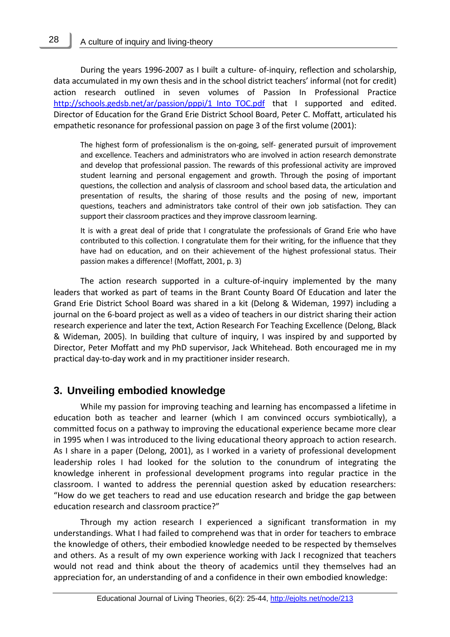During the years 1996-2007 as I built a culture- of-inquiry, reflection and scholarship, data accumulated in my own thesis and in the school district teachers' informal (not for credit) action research outlined in seven volumes of Passion In Professional Practice http://schools.gedsb.net/ar/passion/pppi/1 Into TOC.pdf that I supported and edited. Director of Education for the Grand Erie District School Board, Peter C. Moffatt, articulated his empathetic resonance for professional passion on page 3 of the first volume (2001):

The highest form of professionalism is the on-going, self- generated pursuit of improvement and excellence. Teachers and administrators who are involved in action research demonstrate and develop that professional passion. The rewards of this professional activity are improved student learning and personal engagement and growth. Through the posing of important questions, the collection and analysis of classroom and school based data, the articulation and presentation of results, the sharing of those results and the posing of new, important questions, teachers and administrators take control of their own job satisfaction. They can support their classroom practices and they improve classroom learning.

It is with a great deal of pride that I congratulate the professionals of Grand Erie who have contributed to this collection. I congratulate them for their writing, for the influence that they have had on education, and on their achievement of the highest professional status. Their passion makes a difference! (Moffatt, 2001, p. 3)

The action research supported in a culture-of-inquiry implemented by the many leaders that worked as part of teams in the Brant County Board Of Education and later the Grand Erie District School Board was shared in a kit (Delong & Wideman, 1997) including a journal on the 6-board project as well as a video of teachers in our district sharing their action research experience and later the text, Action Research For Teaching Excellence (Delong, Black & Wideman, 2005). In building that culture of inquiry, I was inspired by and supported by Director, Peter Moffatt and my PhD supervisor, Jack Whitehead. Both encouraged me in my practical day-to-day work and in my practitioner insider research.

## **3. Unveiling embodied knowledge**

While my passion for improving teaching and learning has encompassed a lifetime in education both as teacher and learner (which I am convinced occurs symbiotically), a committed focus on a pathway to improving the educational experience became more clear in 1995 when I was introduced to the living educational theory approach to action research. As I share in a paper (Delong, 2001), as I worked in a variety of professional development leadership roles I had looked for the solution to the conundrum of integrating the knowledge inherent in professional development programs into regular practice in the classroom. I wanted to address the perennial question asked by education researchers: "How do we get teachers to read and use education research and bridge the gap between education research and classroom practice?"

Through my action research I experienced a significant transformation in my understandings. What I had failed to comprehend was that in order for teachers to embrace the knowledge of others, their embodied knowledge needed to be respected by themselves and others. As a result of my own experience working with Jack I recognized that teachers would not read and think about the theory of academics until they themselves had an appreciation for, an understanding of and a confidence in their own embodied knowledge:

28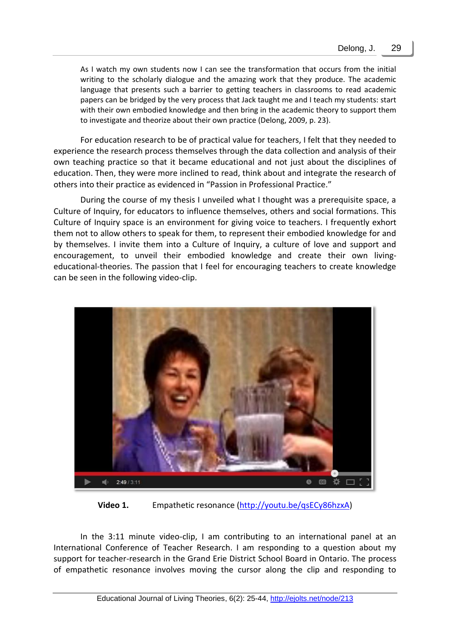As I watch my own students now I can see the transformation that occurs from the initial writing to the scholarly dialogue and the amazing work that they produce. The academic language that presents such a barrier to getting teachers in classrooms to read academic papers can be bridged by the very process that Jack taught me and I teach my students: start with their own embodied knowledge and then bring in the academic theory to support them to investigate and theorize about their own practice (Delong, 2009, p. 23).

For education research to be of practical value for teachers, I felt that they needed to experience the research process themselves through the data collection and analysis of their own teaching practice so that it became educational and not just about the disciplines of education. Then, they were more inclined to read, think about and integrate the research of others into their practice as evidenced in "Passion in Professional Practice."

During the course of my thesis I unveiled what I thought was a prerequisite space, a Culture of Inquiry, for educators to influence themselves, others and social formations. This Culture of Inquiry space is an environment for giving voice to teachers. I frequently exhort them not to allow others to speak for them, to represent their embodied knowledge for and by themselves. I invite them into a Culture of Inquiry, a culture of love and support and encouragement, to unveil their embodied knowledge and create their own livingeducational-theories. The passion that I feel for encouraging teachers to create knowledge can be seen in the following video-clip.



Video 1. Empathetic resonance [\(http://youtu.be/qsECy86hzxA\)](http://youtu.be/qsECy86hzxA)

In the 3:11 minute video-clip, I am contributing to an international panel at an International Conference of Teacher Research. I am responding to a question about my support for teacher-research in the Grand Erie District School Board in Ontario. The process of empathetic resonance involves moving the cursor along the clip and responding to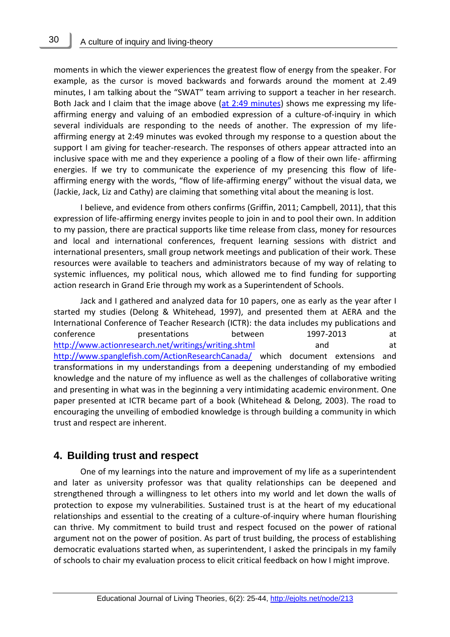30

moments in which the viewer experiences the greatest flow of energy from the speaker. For example, as the cursor is moved backwards and forwards around the moment at 2.49 minutes, I am talking about the "SWAT" team arriving to support a teacher in her research. Both Jack and I claim that the image above [\(at 2:49 minutes\)](http://www.youtube.com/v/qsECy86hzxA?version=3&start=169&end=&autoplay=1&hl=en_US&rel=0) shows me expressing my lifeaffirming energy and valuing of an embodied expression of a culture-of-inquiry in which several individuals are responding to the needs of another. The expression of my lifeaffirming energy at 2:49 minutes was evoked through my response to a question about the support I am giving for teacher-research. The responses of others appear attracted into an inclusive space with me and they experience a pooling of a flow of their own life- affirming energies. If we try to communicate the experience of my presencing this flow of lifeaffirming energy with the words, "flow of life-affirming energy" without the visual data, we (Jackie, Jack, Liz and Cathy) are claiming that something vital about the meaning is lost.

I believe, and evidence from others confirms (Griffin, 2011; Campbell, 2011), that this expression of life-affirming energy invites people to join in and to pool their own. In addition to my passion, there are practical supports like time release from class, money for resources and local and international conferences, frequent learning sessions with district and international presenters, small group network meetings and publication of their work. These resources were available to teachers and administrators because of my way of relating to systemic influences, my political nous, which allowed me to find funding for supporting action research in Grand Erie through my work as a Superintendent of Schools.

Jack and I gathered and analyzed data for 10 papers, one as early as the year after I started my studies (Delong & Whitehead, 1997), and presented them at AERA and the International Conference of Teacher Research (ICTR): the data includes my publications and conference presentations between 1997-2013 at <http://www.actionresearch.net/writings/writing.shtml> and and at <http://www.spanglefish.com/ActionResearchCanada/> which document extensions and transformations in my understandings from a deepening understanding of my embodied knowledge and the nature of my influence as well as the challenges of collaborative writing and presenting in what was in the beginning a very intimidating academic environment. One paper presented at ICTR became part of a book (Whitehead & Delong, 2003). The road to encouraging the unveiling of embodied knowledge is through building a community in which trust and respect are inherent.

#### **4. Building trust and respect**

One of my learnings into the nature and improvement of my life as a superintendent and later as university professor was that quality relationships can be deepened and strengthened through a willingness to let others into my world and let down the walls of protection to expose my vulnerabilities. Sustained trust is at the heart of my educational relationships and essential to the creating of a culture-of-inquiry where human flourishing can thrive. My commitment to build trust and respect focused on the power of rational argument not on the power of position. As part of trust building, the process of establishing democratic evaluations started when, as superintendent, I asked the principals in my family of schools to chair my evaluation process to elicit critical feedback on how I might improve.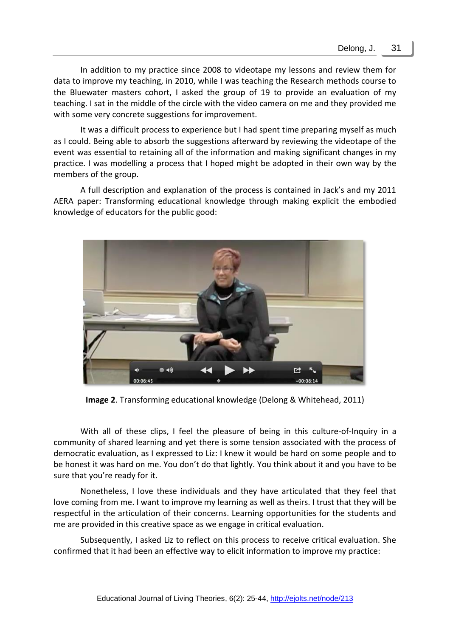In addition to my practice since 2008 to videotape my lessons and review them for data to improve my teaching, in 2010, while I was teaching the Research methods course to the Bluewater masters cohort, I asked the group of 19 to provide an evaluation of my teaching. I sat in the middle of the circle with the video camera on me and they provided me with some very concrete suggestions for improvement.

It was a difficult process to experience but I had spent time preparing myself as much as I could. Being able to absorb the suggestions afterward by reviewing the videotape of the event was essential to retaining all of the information and making significant changes in my practice. I was modelling a process that I hoped might be adopted in their own way by the members of the group.

A full description and explanation of the process is contained in Jack's and my 2011 AERA paper: Transforming educational knowledge through making explicit the embodied knowledge of educators for the public good:



**Image 2**. Transforming educational knowledge (Delong & Whitehead, 2011)

With all of these clips, I feel the pleasure of being in this culture-of-Inquiry in a community of shared learning and yet there is some tension associated with the process of democratic evaluation, as I expressed to Liz: I knew it would be hard on some people and to be honest it was hard on me. You don't do that lightly. You think about it and you have to be sure that you're ready for it.

Nonetheless, I love these individuals and they have articulated that they feel that love coming from me. I want to improve my learning as well as theirs. I trust that they will be respectful in the articulation of their concerns. Learning opportunities for the students and me are provided in this creative space as we engage in critical evaluation.

Subsequently, I asked Liz to reflect on this process to receive critical evaluation. She confirmed that it had been an effective way to elicit information to improve my practice: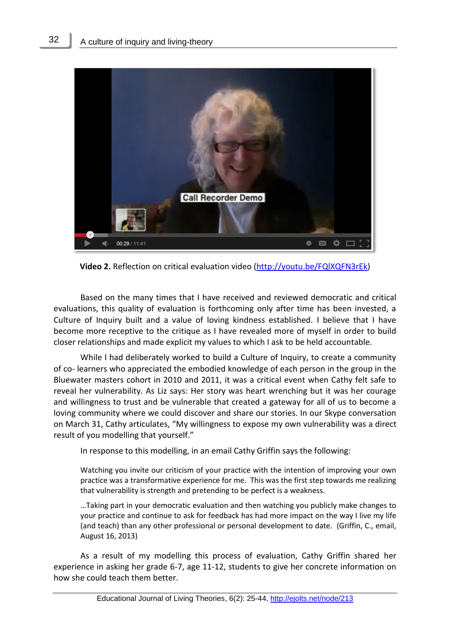

**Video 2.** Reflection on critical evaluation video [\(http://youtu.be/FQlXQFN3rEk\)](http://youtu.be/FQlXQFN3rEk)

Based on the many times that I have received and reviewed democratic and critical evaluations, this quality of evaluation is forthcoming only after time has been invested, a Culture of Inquiry built and a value of loving kindness established. I believe that I have become more receptive to the critique as I have revealed more of myself in order to build closer relationships and made explicit my values to which I ask to be held accountable.

While I had deliberately worked to build a Culture of Inquiry, to create a community of co- learners who appreciated the embodied knowledge of each person in the group in the Bluewater masters cohort in 2010 and 2011, it was a critical event when Cathy felt safe to reveal her vulnerability. As Liz says: Her story was heart wrenching but it was her courage and willingness to trust and be vulnerable that created a gateway for all of us to become a loving community where we could discover and share our stories. In our Skype conversation on March 31, Cathy articulates, "My willingness to expose my own vulnerability was a direct result of you modelling that yourself."

In response to this modelling, in an email Cathy Griffin says the following:

Watching you invite our criticism of your practice with the intention of improving your own practice was a transformative experience for me. This was the first step towards me realizing that vulnerability is strength and pretending to be perfect is a weakness.

…Taking part in your democratic evaluation and then watching you publicly make changes to your practice and continue to ask for feedback has had more impact on the way I live my life (and teach) than any other professional or personal development to date. (Griffin, C., email, August 16, 2013)

As a result of my modelling this process of evaluation, Cathy Griffin shared her experience in asking her grade 6-7, age 11-12, students to give her concrete information on how she could teach them better.

32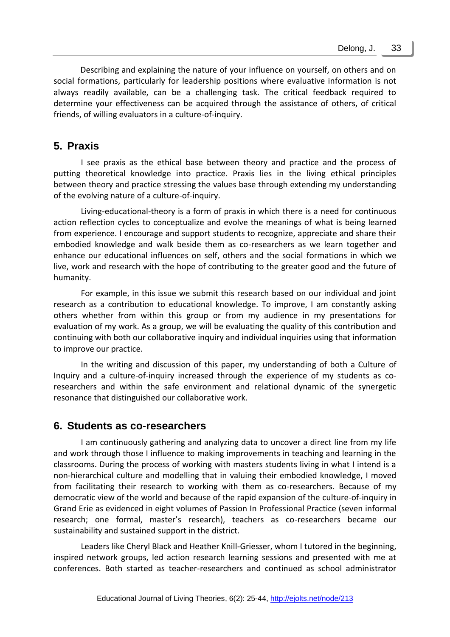Describing and explaining the nature of your influence on yourself, on others and on social formations, particularly for leadership positions where evaluative information is not always readily available, can be a challenging task. The critical feedback required to determine your effectiveness can be acquired through the assistance of others, of critical friends, of willing evaluators in a culture-of-inquiry.

## **5. Praxis**

I see praxis as the ethical base between theory and practice and the process of putting theoretical knowledge into practice. Praxis lies in the living ethical principles between theory and practice stressing the values base through extending my understanding of the evolving nature of a culture-of-inquiry.

Living-educational-theory is a form of praxis in which there is a need for continuous action reflection cycles to conceptualize and evolve the meanings of what is being learned from experience. I encourage and support students to recognize, appreciate and share their embodied knowledge and walk beside them as co-researchers as we learn together and enhance our educational influences on self, others and the social formations in which we live, work and research with the hope of contributing to the greater good and the future of humanity.

For example, in this issue we submit this research based on our individual and joint research as a contribution to educational knowledge. To improve, I am constantly asking others whether from within this group or from my audience in my presentations for evaluation of my work. As a group, we will be evaluating the quality of this contribution and continuing with both our collaborative inquiry and individual inquiries using that information to improve our practice.

In the writing and discussion of this paper, my understanding of both a Culture of Inquiry and a culture-of-inquiry increased through the experience of my students as coresearchers and within the safe environment and relational dynamic of the synergetic resonance that distinguished our collaborative work.

## **6. Students as co-researchers**

I am continuously gathering and analyzing data to uncover a direct line from my life and work through those I influence to making improvements in teaching and learning in the classrooms. During the process of working with masters students living in what I intend is a non-hierarchical culture and modelling that in valuing their embodied knowledge, I moved from facilitating their research to working with them as co-researchers. Because of my democratic view of the world and because of the rapid expansion of the culture-of-inquiry in Grand Erie as evidenced in eight volumes of Passion In Professional Practice (seven informal research; one formal, master's research), teachers as co-researchers became our sustainability and sustained support in the district.

Leaders like Cheryl Black and Heather Knill-Griesser, whom I tutored in the beginning, inspired network groups, led action research learning sessions and presented with me at conferences. Both started as teacher-researchers and continued as school administrator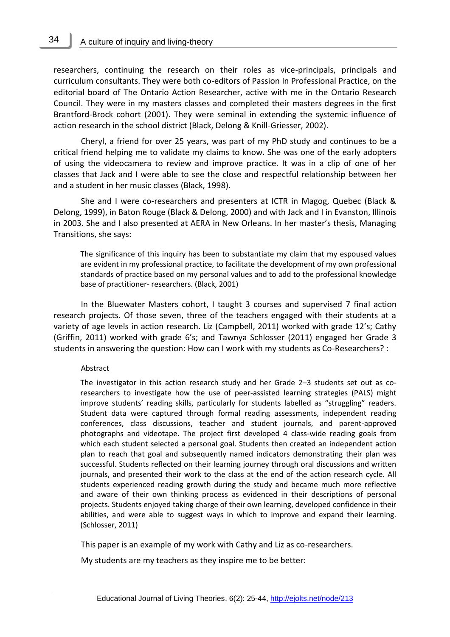researchers, continuing the research on their roles as vice-principals, principals and curriculum consultants. They were both co-editors of Passion In Professional Practice, on the editorial board of The Ontario Action Researcher, active with me in the Ontario Research Council. They were in my masters classes and completed their masters degrees in the first Brantford-Brock cohort (2001). They were seminal in extending the systemic influence of action research in the school district (Black, Delong & Knill-Griesser, 2002).

Cheryl, a friend for over 25 years, was part of my PhD study and continues to be a critical friend helping me to validate my claims to know. She was one of the early adopters of using the videocamera to review and improve practice. It was in a clip of one of her classes that Jack and I were able to see the close and respectful relationship between her and a student in her music classes (Black, 1998).

She and I were co-researchers and presenters at ICTR in Magog, Quebec (Black & Delong, 1999), in Baton Rouge (Black & Delong, 2000) and with Jack and I in Evanston, Illinois in 2003. She and I also presented at AERA in New Orleans. In her master's thesis, Managing Transitions, she says:

The significance of this inquiry has been to substantiate my claim that my espoused values are evident in my professional practice, to facilitate the development of my own professional standards of practice based on my personal values and to add to the professional knowledge base of practitioner- researchers. (Black, 2001)

In the Bluewater Masters cohort, I taught 3 courses and supervised 7 final action research projects. Of those seven, three of the teachers engaged with their students at a variety of age levels in action research. Liz (Campbell, 2011) worked with grade 12's; Cathy (Griffin, 2011) worked with grade 6's; and Tawnya Schlosser (2011) engaged her Grade 3 students in answering the question: How can I work with my students as Co-Researchers? :

#### Abstract

The investigator in this action research study and her Grade 2–3 students set out as coresearchers to investigate how the use of peer-assisted learning strategies (PALS) might improve students' reading skills, particularly for students labelled as "struggling" readers. Student data were captured through formal reading assessments, independent reading conferences, class discussions, teacher and student journals, and parent-approved photographs and videotape. The project first developed 4 class-wide reading goals from which each student selected a personal goal. Students then created an independent action plan to reach that goal and subsequently named indicators demonstrating their plan was successful. Students reflected on their learning journey through oral discussions and written journals, and presented their work to the class at the end of the action research cycle. All students experienced reading growth during the study and became much more reflective and aware of their own thinking process as evidenced in their descriptions of personal projects. Students enjoyed taking charge of their own learning, developed confidence in their abilities, and were able to suggest ways in which to improve and expand their learning. (Schlosser, 2011)

This paper is an example of my work with Cathy and Liz as co-researchers.

My students are my teachers as they inspire me to be better: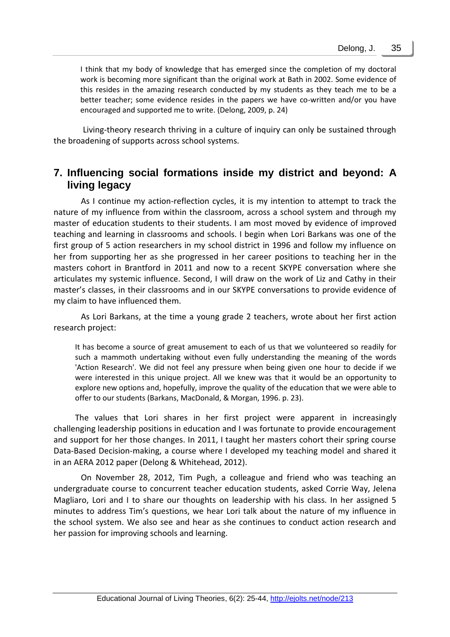I think that my body of knowledge that has emerged since the completion of my doctoral work is becoming more significant than the original work at Bath in 2002. Some evidence of this resides in the amazing research conducted by my students as they teach me to be a better teacher; some evidence resides in the papers we have co-written and/or you have encouraged and supported me to write. (Delong, 2009, p. 24)

Living-theory research thriving in a culture of inquiry can only be sustained through the broadening of supports across school systems.

## **7. Influencing social formations inside my district and beyond: A living legacy**

As I continue my action-reflection cycles, it is my intention to attempt to track the nature of my influence from within the classroom, across a school system and through my master of education students to their students. I am most moved by evidence of improved teaching and learning in classrooms and schools. I begin when Lori Barkans was one of the first group of 5 action researchers in my school district in 1996 and follow my influence on her from supporting her as she progressed in her career positions to teaching her in the masters cohort in Brantford in 2011 and now to a recent SKYPE conversation where she articulates my systemic influence. Second, I will draw on the work of Liz and Cathy in their master's classes, in their classrooms and in our SKYPE conversations to provide evidence of my claim to have influenced them.

As Lori Barkans, at the time a young grade 2 teachers, wrote about her first action research project:

It has become a source of great amusement to each of us that we volunteered so readily for such a mammoth undertaking without even fully understanding the meaning of the words 'Action Research'. We did not feel any pressure when being given one hour to decide if we were interested in this unique project. All we knew was that it would be an opportunity to explore new options and, hopefully, improve the quality of the education that we were able to offer to our students (Barkans, MacDonald, & Morgan, 1996. p. 23).

The values that Lori shares in her first project were apparent in increasingly challenging leadership positions in education and I was fortunate to provide encouragement and support for her those changes. In 2011, I taught her masters cohort their spring course Data-Based Decision-making, a course where I developed my teaching model and shared it in an AERA 2012 paper (Delong & Whitehead, 2012).

On November 28, 2012, Tim Pugh, a colleague and friend who was teaching an undergraduate course to concurrent teacher education students, asked Corrie Way, Jelena Magliaro, Lori and I to share our thoughts on leadership with his class. In her assigned 5 minutes to address Tim's questions, we hear Lori talk about the nature of my influence in the school system. We also see and hear as she continues to conduct action research and her passion for improving schools and learning.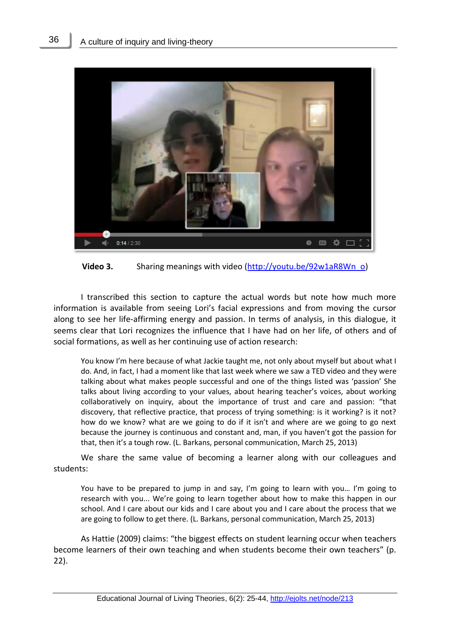

**Video 3.** Sharing meanings with video [\(http://youtu.be/92w1aR8Wn\\_o\)](http://youtu.be/92w1aR8Wn_o)

I transcribed this section to capture the actual words but note how much more information is available from seeing Lori's facial expressions and from moving the cursor along to see her life-affirming energy and passion. In terms of analysis, in this dialogue, it seems clear that Lori recognizes the influence that I have had on her life, of others and of social formations, as well as her continuing use of action research:

You know I'm here because of what Jackie taught me, not only about myself but about what I do. And, in fact, I had a moment like that last week where we saw a TED video and they were talking about what makes people successful and one of the things listed was 'passion' She talks about living according to your values, about hearing teacher's voices, about working collaboratively on inquiry, about the importance of trust and care and passion: "that discovery, that reflective practice, that process of trying something: is it working? is it not? how do we know? what are we going to do if it isn't and where are we going to go next because the journey is continuous and constant and, man, if you haven't got the passion for that, then it's a tough row. (L. Barkans, personal communication, March 25, 2013)

We share the same value of becoming a learner along with our colleagues and students:

You have to be prepared to jump in and say, I'm going to learn with you... I'm going to research with you... We're going to learn together about how to make this happen in our school. And I care about our kids and I care about you and I care about the process that we are going to follow to get there. (L. Barkans, personal communication, March 25, 2013)

As Hattie (2009) claims: "the biggest effects on student learning occur when teachers become learners of their own teaching and when students become their own teachers" (p. 22).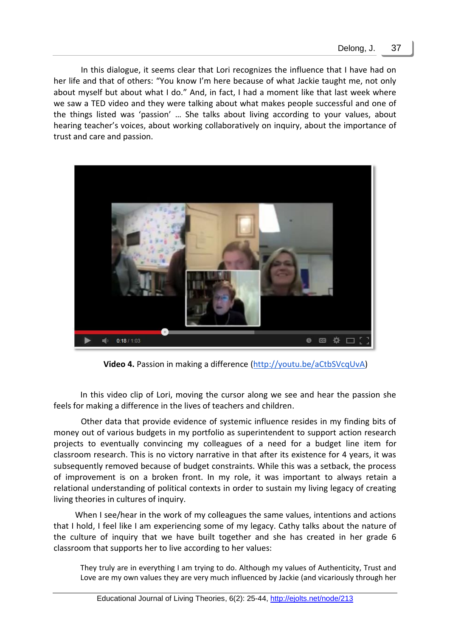In this dialogue, it seems clear that Lori recognizes the influence that I have had on her life and that of others: "You know I'm here because of what Jackie taught me, not only about myself but about what I do." And, in fact, I had a moment like that last week where we saw a TED video and they were talking about what makes people successful and one of the things listed was 'passion' … She talks about living according to your values, about hearing teacher's voices, about working collaboratively on inquiry, about the importance of trust and care and passion.



**Video 4.** Passion in making a difference [\(http://youtu.be/aCtbSVcqUvA\)](http://youtu.be/aCtbSVcqUvA)

In this video clip of Lori, moving the cursor along we see and hear the passion she feels for making a difference in the lives of teachers and children.

Other data that provide evidence of systemic influence resides in my finding bits of money out of various budgets in my portfolio as superintendent to support action research projects to eventually convincing my colleagues of a need for a budget line item for classroom research. This is no victory narrative in that after its existence for 4 years, it was subsequently removed because of budget constraints. While this was a setback, the process of improvement is on a broken front. In my role, it was important to always retain a relational understanding of political contexts in order to sustain my living legacy of creating living theories in cultures of inquiry.

When I see/hear in the work of my colleagues the same values, intentions and actions that I hold, I feel like I am experiencing some of my legacy. Cathy talks about the nature of the culture of inquiry that we have built together and she has created in her grade 6 classroom that supports her to live according to her values:

They truly are in everything I am trying to do. Although my values of Authenticity, Trust and Love are my own values they are very much influenced by Jackie (and vicariously through her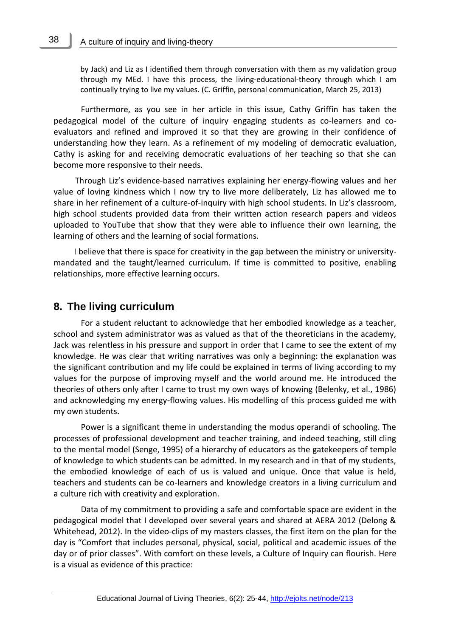38

by Jack) and Liz as I identified them through conversation with them as my validation group through my MEd. I have this process, the living-educational-theory through which I am continually trying to live my values. (C. Griffin, personal communication, March 25, 2013)

Furthermore, as you see in her article in this issue, Cathy Griffin has taken the pedagogical model of the culture of inquiry engaging students as co-learners and coevaluators and refined and improved it so that they are growing in their confidence of understanding how they learn. As a refinement of my modeling of democratic evaluation, Cathy is asking for and receiving democratic evaluations of her teaching so that she can become more responsive to their needs.

Through Liz's evidence-based narratives explaining her energy-flowing values and her value of loving kindness which I now try to live more deliberately, Liz has allowed me to share in her refinement of a culture-of-inquiry with high school students. In Liz's classroom, high school students provided data from their written action research papers and videos uploaded to YouTube that show that they were able to influence their own learning, the learning of others and the learning of social formations.

I believe that there is space for creativity in the gap between the ministry or universitymandated and the taught/learned curriculum. If time is committed to positive, enabling relationships, more effective learning occurs.

## **8. The living curriculum**

For a student reluctant to acknowledge that her embodied knowledge as a teacher, school and system administrator was as valued as that of the theoreticians in the academy, Jack was relentless in his pressure and support in order that I came to see the extent of my knowledge. He was clear that writing narratives was only a beginning: the explanation was the significant contribution and my life could be explained in terms of living according to my values for the purpose of improving myself and the world around me. He introduced the theories of others only after I came to trust my own ways of knowing (Belenky, et al., 1986) and acknowledging my energy-flowing values. His modelling of this process guided me with my own students.

Power is a significant theme in understanding the modus operandi of schooling. The processes of professional development and teacher training, and indeed teaching, still cling to the mental model (Senge, 1995) of a hierarchy of educators as the gatekeepers of temple of knowledge to which students can be admitted. In my research and in that of my students, the embodied knowledge of each of us is valued and unique. Once that value is held, teachers and students can be co-learners and knowledge creators in a living curriculum and a culture rich with creativity and exploration.

Data of my commitment to providing a safe and comfortable space are evident in the pedagogical model that I developed over several years and shared at AERA 2012 (Delong & Whitehead, 2012). In the video-clips of my masters classes, the first item on the plan for the day is "Comfort that includes personal, physical, social, political and academic issues of the day or of prior classes". With comfort on these levels, a Culture of Inquiry can flourish. Here is a visual as evidence of this practice: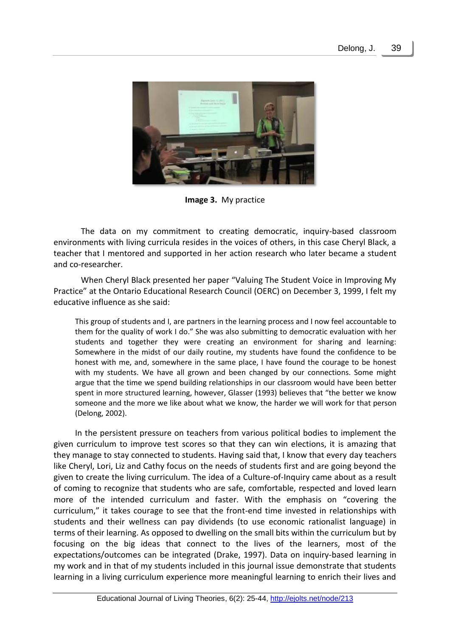

**Image 3.** My practice

The data on my commitment to creating democratic, inquiry-based classroom environments with living curricula resides in the voices of others, in this case Cheryl Black, a teacher that I mentored and supported in her action research who later became a student and co-researcher.

When Cheryl Black presented her paper "Valuing The Student Voice in Improving My Practice" at the Ontario Educational Research Council (OERC) on December 3, 1999, I felt my educative influence as she said:

This group of students and I, are partners in the learning process and I now feel accountable to them for the quality of work I do." She was also submitting to democratic evaluation with her students and together they were creating an environment for sharing and learning: Somewhere in the midst of our daily routine, my students have found the confidence to be honest with me, and, somewhere in the same place, I have found the courage to be honest with my students. We have all grown and been changed by our connections. Some might argue that the time we spend building relationships in our classroom would have been better spent in more structured learning, however, Glasser (1993) believes that "the better we know someone and the more we like about what we know, the harder we will work for that person (Delong, 2002).

In the persistent pressure on teachers from various political bodies to implement the given curriculum to improve test scores so that they can win elections, it is amazing that they manage to stay connected to students. Having said that, I know that every day teachers like Cheryl, Lori, Liz and Cathy focus on the needs of students first and are going beyond the given to create the living curriculum. The idea of a Culture-of-Inquiry came about as a result of coming to recognize that students who are safe, comfortable, respected and loved learn more of the intended curriculum and faster. With the emphasis on "covering the curriculum," it takes courage to see that the front-end time invested in relationships with students and their wellness can pay dividends (to use economic rationalist language) in terms of their learning. As opposed to dwelling on the small bits within the curriculum but by focusing on the big ideas that connect to the lives of the learners, most of the expectations/outcomes can be integrated (Drake, 1997). Data on inquiry-based learning in my work and in that of my students included in this journal issue demonstrate that students learning in a living curriculum experience more meaningful learning to enrich their lives and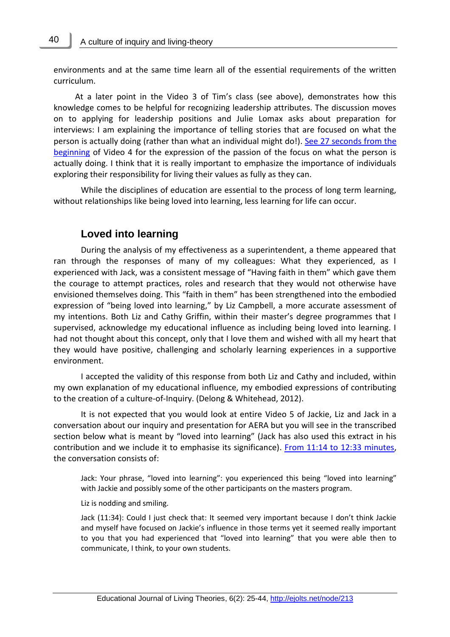environments and at the same time learn all of the essential requirements of the written curriculum.

At a later point in the Video 3 of Tim's class (see above), demonstrates how this knowledge comes to be helpful for recognizing leadership attributes. The discussion moves on to applying for leadership positions and Julie Lomax asks about preparation for interviews: I am explaining the importance of telling stories that are focused on what the person is actually doing (rather than what an individual might do!). [See 27 seconds](http://www.youtube.com/v/aCtbSVcqUvA?version=3&start=0&end=27&autoplay=1&hl=en_US&rel=0) from the [beginning](http://www.youtube.com/v/aCtbSVcqUvA?version=3&start=0&end=27&autoplay=1&hl=en_US&rel=0) of Video 4 for the expression of the passion of the focus on what the person is actually doing. I think that it is really important to emphasize the importance of individuals exploring their responsibility for living their values as fully as they can.

While the disciplines of education are essential to the process of long term learning, without relationships like being loved into learning, less learning for life can occur.

## **Loved into learning**

During the analysis of my effectiveness as a superintendent, a theme appeared that ran through the responses of many of my colleagues: What they experienced, as I experienced with Jack, was a consistent message of "Having faith in them" which gave them the courage to attempt practices, roles and research that they would not otherwise have envisioned themselves doing. This "faith in them" has been strengthened into the embodied expression of "being loved into learning," by Liz Campbell, a more accurate assessment of my intentions. Both Liz and Cathy Griffin, within their master's degree programmes that I supervised, acknowledge my educational influence as including being loved into learning. I had not thought about this concept, only that I love them and wished with all my heart that they would have positive, challenging and scholarly learning experiences in a supportive environment.

I accepted the validity of this response from both Liz and Cathy and included, within my own explanation of my educational influence, my embodied expressions of contributing to the creation of a culture-of-Inquiry. (Delong & Whitehead, 2012).

It is not expected that you would look at entire Video 5 of Jackie, Liz and Jack in a conversation about our inquiry and presentation for AERA but you will see in the transcribed section below what is meant by "loved into learning" (Jack has also used this extract in his contribution and we include it to emphasise its significance). [From 11:14 to 12:33 minutes,](http://www.youtube.com/v/5MPXeJMc0gU?version=3&start=674&end=753&autoplay=1&hl=en_US&rel=0) the conversation consists of:

Jack: Your phrase, "loved into learning": you experienced this being "loved into learning" with Jackie and possibly some of the other participants on the masters program.

Liz is nodding and smiling.

Jack (11:34): Could I just check that: It seemed very important because I don't think Jackie and myself have focused on Jackie's influence in those terms yet it seemed really important to you that you had experienced that "loved into learning" that you were able then to communicate, I think, to your own students.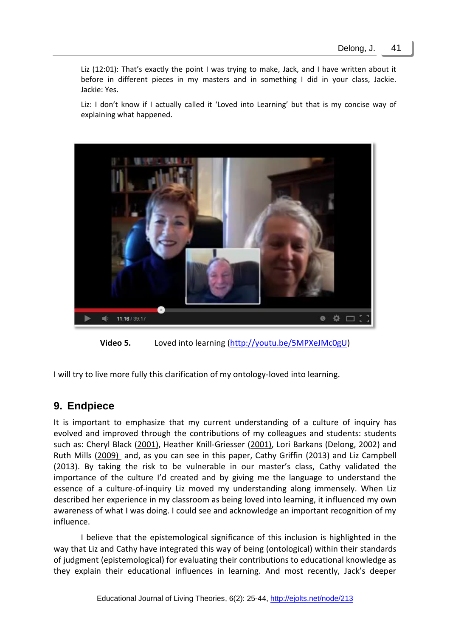Liz (12:01): That's exactly the point I was trying to make, Jack, and I have written about it before in different pieces in my masters and in something I did in your class, Jackie. Jackie: Yes.

Liz: I don't know if I actually called it 'Loved into Learning' but that is my concise way of explaining what happened.



**Video 5.** Loved into learning [\(http://youtu.be/5MPXeJMc0gU\)](http://youtu.be/5MPXeJMc0gU)

I will try to live more fully this clarification of my ontology-loved into learning.

## **9. Endpiece**

It is important to emphasize that my current understanding of a culture of inquiry has evolved and improved through the contributions of my colleagues and students: students such as: Cheryl Black [\(2001\)](http://schools.gedsb.net/ar/theses/cheryl/index.html), Heather Knill-Griesser (2001), Lori Barkans (Delong, 2002) and Ruth Mills [\(2009\)](http://s3.spanglefish.com/s/11596/documents/ruth%20mills/rmillsmed21aug09opt.pdf) and, as you can see in this paper, Cathy Griffin (2013) and Liz Campbell (2013). By taking the risk to be vulnerable in our master's class, Cathy validated the importance of the culture I'd created and by giving me the language to understand the essence of a culture-of-inquiry Liz moved my understanding along immensely. When Liz described her experience in my classroom as being loved into learning, it influenced my own awareness of what I was doing. I could see and acknowledge an important recognition of my influence.

I believe that the epistemological significance of this inclusion is highlighted in the way that Liz and Cathy have integrated this way of being (ontological) within their standards of judgment (epistemological) for evaluating their contributions to educational knowledge as they explain their educational influences in learning. And most recently, Jack's deeper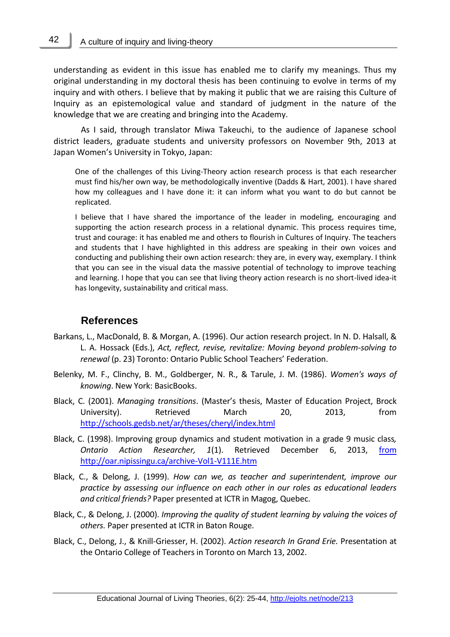42

understanding as evident in this issue has enabled me to clarify my meanings. Thus my original understanding in my doctoral thesis has been continuing to evolve in terms of my inquiry and with others. I believe that by making it public that we are raising this Culture of Inquiry as an epistemological value and standard of judgment in the nature of the knowledge that we are creating and bringing into the Academy.

As I said, through translator Miwa Takeuchi, to the audience of Japanese school district leaders, graduate students and university professors on November 9th, 2013 at Japan Women's University in Tokyo, Japan:

One of the challenges of this Living-Theory action research process is that each researcher must find his/her own way, be methodologically inventive (Dadds & Hart, 2001). I have shared how my colleagues and I have done it: it can inform what you want to do but cannot be replicated.

I believe that I have shared the importance of the leader in modeling, encouraging and supporting the action research process in a relational dynamic. This process requires time, trust and courage: it has enabled me and others to flourish in Cultures of Inquiry. The teachers and students that I have highlighted in this address are speaking in their own voices and conducting and publishing their own action research: they are, in every way, exemplary. I think that you can see in the visual data the massive potential of technology to improve teaching and learning. I hope that you can see that living theory action research is no short-lived idea-it has longevity, sustainability and critical mass.

#### **References**

- Barkans, L., MacDonald, B. & Morgan, A. (1996). Our action research project. In N. D. Halsall, & L. A. Hossack (Eds.), *Act, reflect, revise, revitalize: Moving beyond problem-solving to renewal* (p. 23) Toronto: Ontario Public School Teachers' Federation.
- Belenky, M. F., Clinchy, B. M., Goldberger, N. R., & Tarule, J. M. (1986). *Women's ways of knowing*. New York: BasicBooks.
- Black, C. (2001). *Managing transitions*. (Master's thesis, Master of Education Project, Brock University). Retrieved March 20, 2013, from <http://schools.gedsb.net/ar/theses/cheryl/index.html>
- Black, C. (1998). Improving group dynamics and student motivation in a grade 9 music class*, Ontario Action Researcher, 1*(1). Retrieved December 6, 2013, from <http://oar.nipissingu.ca/archive-Vol1-V111E.htm>
- Black, C., & Delong, J. (1999). *How can we, as teacher and superintendent, improve our practice by assessing our influence on each other in our roles as educational leaders and critical friends?* Paper presented at ICTR in Magog, Quebec.
- Black, C., & Delong, J. (2000). *Improving the quality of student learning by valuing the voices of others.* Paper presented at ICTR in Baton Rouge.
- Black, C., Delong, J., & Knill-Griesser, H. (2002). *Action research In Grand Erie.* Presentation at the Ontario College of Teachers in Toronto on March 13, 2002.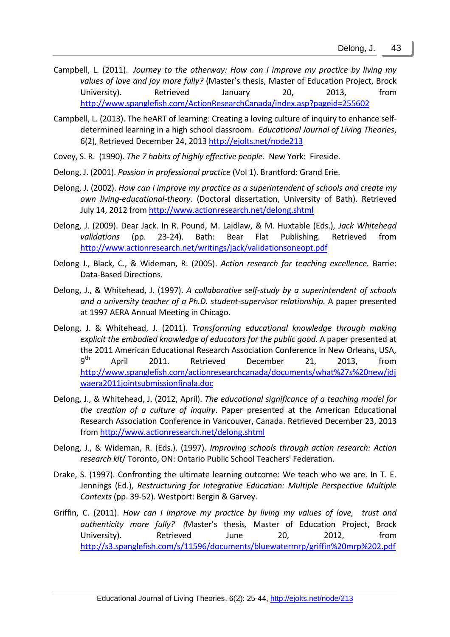- Campbell, L. (2011). *[Journey to the otherway: How can I improve my practice by living my](http://www.spanglefish.com/ActionResearchCanada/documents/BluewaterMRP/LizCampbellMRP%281%29opt.pdf)  [values of love and joy more fully?](http://www.spanglefish.com/ActionResearchCanada/documents/BluewaterMRP/LizCampbellMRP%281%29opt.pdf)* (Master's thesis, Master of Education Project, Brock University). Retrieved January 20, 2013, from <http://www.spanglefish.com/ActionResearchCanada/index.asp?pageid=255602>
- Campbell, L. (2013). The heART of learning: Creating a loving culture of inquiry to enhance selfdetermined learning in a high school classroom. *Educational Journal of Living Theories*, 6(2), Retrieved December 24, 2013 <http://ejolts.net/node213>
- Covey, S. R. (1990). *The 7 habits of highly effective people*. New York: Fireside.
- Delong, J. (2001). *Passion in professional practice* (Vol 1). Brantford: Grand Erie.
- Delong, J. (2002). *How can I improve my practice as a superintendent of schools and create my own living-educational-theory.* (Doctoral dissertation, University of Bath). Retrieved July 14, 2012 from<http://www.actionresearch.net/delong.shtml>
- Delong, J. (2009). Dear Jack. In R. Pound, M. Laidlaw, & M. Huxtable (Eds.), *Jack Whitehead validations* (pp. 23-24). Bath: Bear Flat Publishing. Retrieved from <http://www.actionresearch.net/writings/jack/validationsoneopt.pdf>
- Delong J., Black, C., & Wideman, R. (2005). *Action research for teaching excellence.* Barrie: Data-Based Directions.
- Delong, J., & Whitehead, J. (1997). *A collaborative self-study by a superintendent of schools and a university teacher of a Ph.D. student-supervisor relationship.* A paper presented at 1997 AERA Annual Meeting in Chicago.
- Delong, J. & Whitehead, J. (2011). *Transforming educational knowledge through making explicit the embodied knowledge of educators for the public good*. A paper presented at the 2011 American Educational Research Association Conference in New Orleans, USA,  $9<sup>th</sup>$ <sup>th</sup> April 2011. Retrieved December 21, 2013, from [http://www.spanglefish.com/actionresearchcanada/documents/what%27s%20new/jdj](http://www.spanglefish.com/actionresearchcanada/documents/what%27s%20new/jdjwaera2011jointsubmissionfinala.doc) [waera2011jointsubmissionfinala.doc](http://www.spanglefish.com/actionresearchcanada/documents/what%27s%20new/jdjwaera2011jointsubmissionfinala.doc)
- Delong, J., & Whitehead, J. (2012, April). *The educational significance of a teaching model for the creation of a culture of inquiry*. Paper presented at the American Educational Research Association Conference in Vancouver, Canada. Retrieved December 23, 2013 from <http://www.actionresearch.net/delong.shtml>
- Delong, J., & Wideman, R. (Eds.). (1997). *Improving schools through action research: Action research kit*/ Toronto, ON: Ontario Public School Teachers' Federation.
- Drake, S. (1997). Confronting the ultimate learning outcome: We teach who we are. In T. E. Jennings (Ed.), *Restructuring for Integrative Education: Multiple Perspective Multiple Contexts* (pp. 39-52). Westport: Bergin & Garvey.
- Griffin, C. (2011). *[How can I improve my practice by living my values of love,](http://www.spanglefish.com/ActionResearchCanada/documents/BluewaterMRP/Griffin%20MRP%202.pdf) [trust and](http://www.spanglefish.com/ActionResearchCanada/documents/BluewaterMRP/Griffin%20MRP%202.pdf)  [authenticity more fully?](http://www.spanglefish.com/ActionResearchCanada/documents/BluewaterMRP/Griffin%20MRP%202.pdf) (*Master's thesis*,* Master of Education Project, Brock University). Retrieved June 20, 2012, from <http://s3.spanglefish.com/s/11596/documents/bluewatermrp/griffin%20mrp%202.pdf>